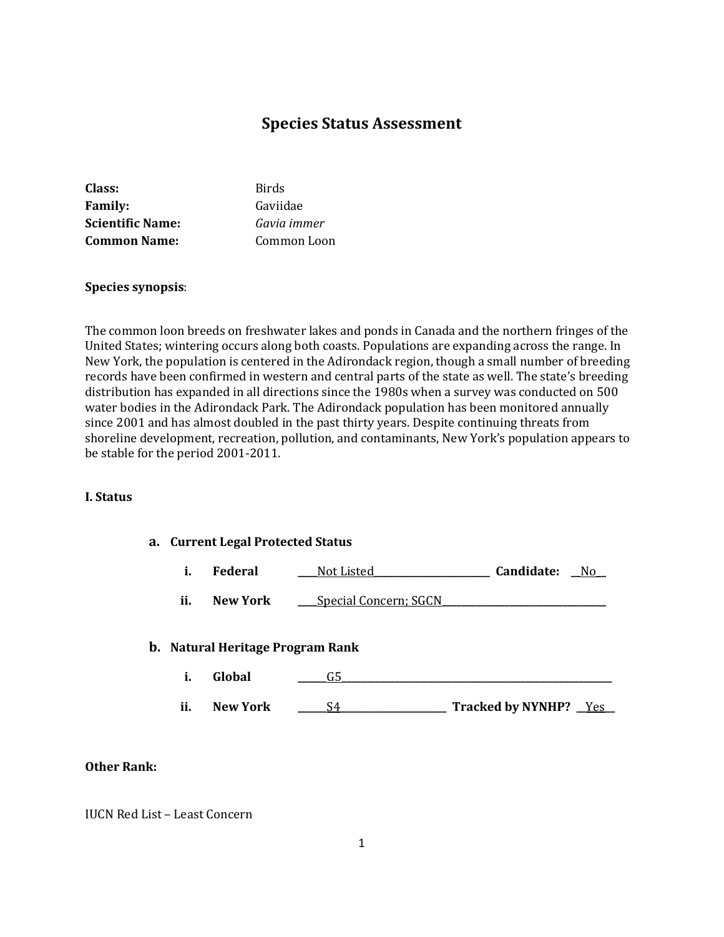# **Species Status Assessment**

| Class:                  | Birds       |
|-------------------------|-------------|
| <b>Family:</b>          | Gaviidae    |
| <b>Scientific Name:</b> | Gavia immer |
| <b>Common Name:</b>     | Common Loon |

#### **Species synopsis**:

The common loon breeds on freshwater lakes and ponds in Canada and the northern fringes of the United States; wintering occurs along both coasts. Populations are expanding across the range. In New York, the population is centered in the Adirondack region, though a small number of breeding records have been confirmed in western and central parts of the state as well. The state's breeding distribution has expanded in all directions since the 1980s when a survey was conducted on 500 water bodies in the Adirondack Park. The Adirondack population has been monitored annually since 2001 and has almost doubled in the past thirty years. Despite continuing threats from shoreline development, recreation, pollution, and contaminants, New York's population appears to be stable for the period 2001-2011.

#### **I. Status**

**a. Current Legal Protected Status**

|  | Federal | Not Listed | Candidate: | N٢ |
|--|---------|------------|------------|----|
|--|---------|------------|------------|----|

**ii. New York \_\_\_** Special Concern; SGCN

#### **b. Natural Heritage Program Rank**

**i. Global \_\_\_\_\_\_**G5**\_\_\_\_\_\_\_\_\_\_\_\_\_\_\_\_\_\_\_\_\_\_\_\_\_\_\_\_\_\_\_\_\_\_\_\_\_\_\_\_\_\_\_\_\_\_\_\_\_\_\_\_\_\_\_\_ ii. New York** \_\_\_\_\_\_<u>S4\_\_\_\_\_\_\_\_\_\_\_\_\_\_\_\_\_\_\_\_</u> Tracked by NYNHP? \_\_\_<u>Yes</u>

#### **Other Rank:**

IUCN Red List – Least Concern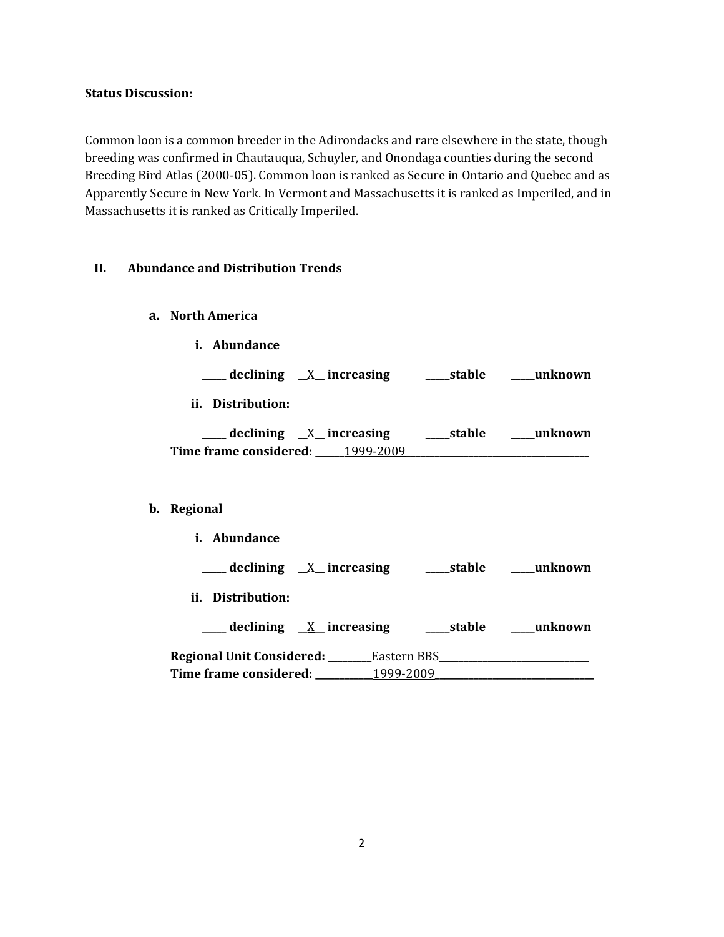### **Status Discussion:**

Common loon is a common breeder in the Adirondacks and rare elsewhere in the state, though breeding was confirmed in Chautauqua, Schuyler, and Onondaga counties during the second Breeding Bird Atlas (2000-05). Common loon is ranked as Secure in Ontario and Quebec and as Apparently Secure in New York. In Vermont and Massachusetts it is ranked as Imperiled, and in Massachusetts it is ranked as Critically Imperiled.

### **II. Abundance and Distribution Trends**

- **a. North America**
	- **i. Abundance**

**\_\_\_\_\_ declining \_\_**X**\_\_ increasing \_\_\_\_\_stable \_\_\_\_\_unknown**

**ii. Distribution:**

| declining $X$ increasing |           | ___stable | unknown |
|--------------------------|-----------|-----------|---------|
| Time frame considered:   | 1999-2009 |           |         |

### **b. Regional**

**i. Abundance \_\_\_\_\_ declining \_\_**X**\_\_ increasing \_\_\_\_\_stable \_\_\_\_\_unknown ii. Distribution: \_\_\_\_\_ declining \_\_**X**\_\_ increasing \_\_\_\_\_stable \_\_\_\_\_unknown Regional Unit Considered: \_\_\_\_\_\_\_\_\_**Eastern BBS**\_\_\_\_\_\_\_\_\_\_\_\_\_\_\_\_\_\_\_\_\_\_\_\_\_\_\_\_\_\_\_ Time frame considered: \_\_\_\_\_\_\_\_\_\_\_\_**1999-2009**\_\_\_\_\_\_\_\_\_\_\_\_\_\_\_\_\_\_\_\_\_\_\_\_\_\_\_\_\_\_\_\_\_**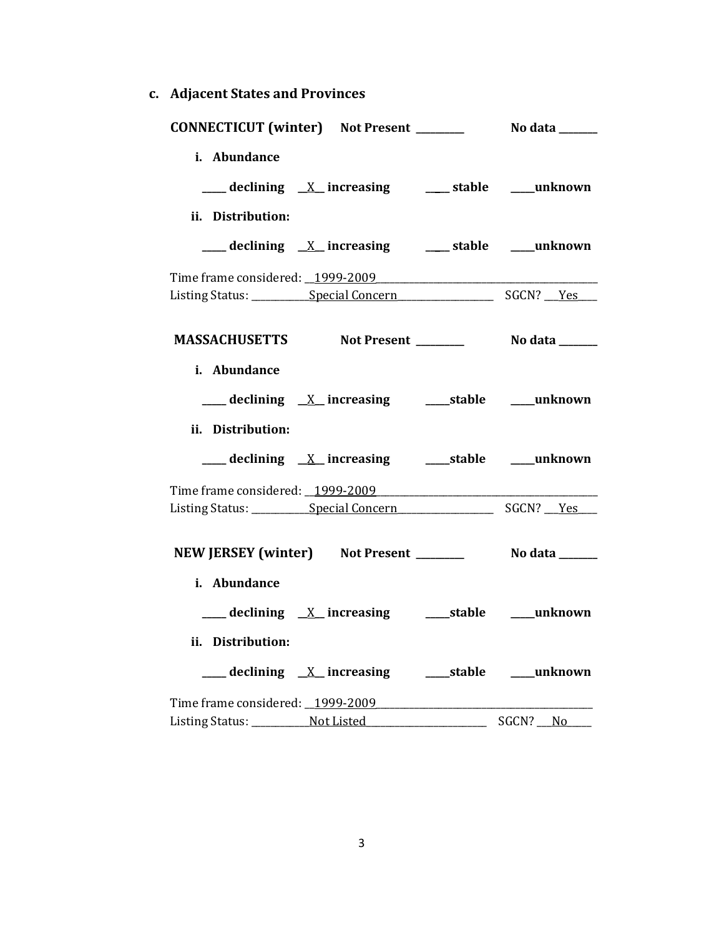**c. Adjacent States and Provinces**

|                   | CONNECTICUT (winter) Not Present __________ No data ______ |          |
|-------------------|------------------------------------------------------------|----------|
| i. Abundance      |                                                            |          |
|                   |                                                            |          |
|                   | ___ declining <u>X</u> increasing ___ stable ___ unknown   |          |
| ii. Distribution: |                                                            |          |
|                   | ___ declining <u>X</u> increasing ___ stable ___ unknown   |          |
|                   |                                                            |          |
|                   |                                                            |          |
|                   |                                                            |          |
|                   |                                                            |          |
| i. Abundance      |                                                            |          |
|                   |                                                            |          |
|                   |                                                            |          |
| ii. Distribution: |                                                            |          |
|                   |                                                            |          |
|                   |                                                            |          |
|                   |                                                            |          |
|                   |                                                            |          |
|                   | NEW JERSEY (winter) Not Present ___________ No data ______ |          |
| i. Abundance      |                                                            |          |
|                   | ___ declining <u>X</u> _increasing ____ stable ___ unknown |          |
| ii. Distribution: |                                                            |          |
|                   |                                                            |          |
|                   |                                                            |          |
|                   | Time frame considered: 1999-2009                           |          |
|                   | Listing Status: Not Listed                                 | SGCN? No |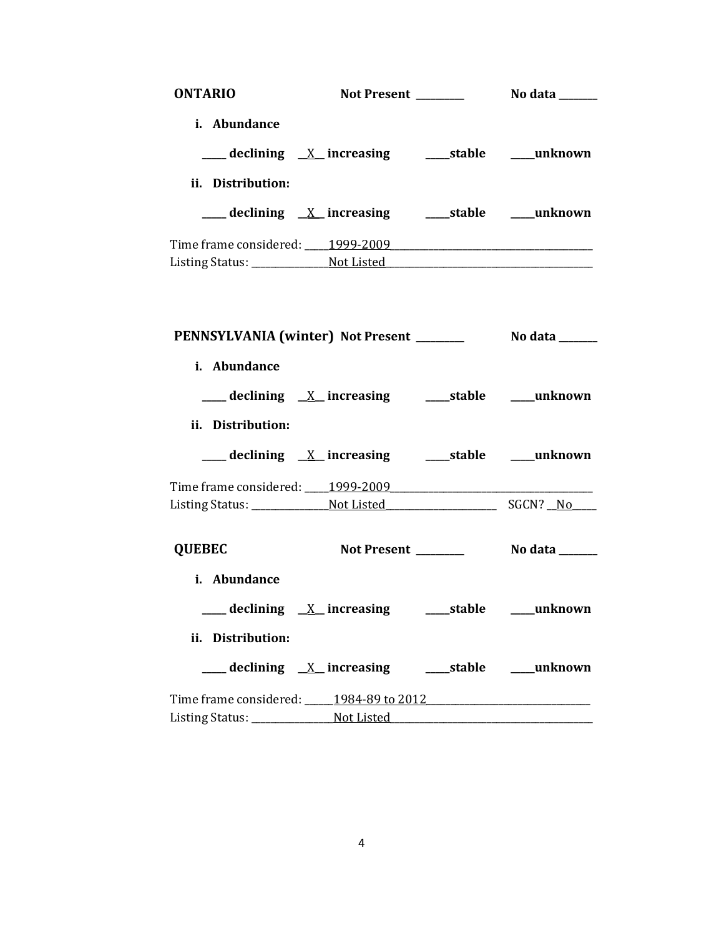| <b>ONTARIO</b>    |                                        |  |
|-------------------|----------------------------------------|--|
| i. Abundance      |                                        |  |
|                   |                                        |  |
|                   |                                        |  |
| ii. Distribution: |                                        |  |
|                   |                                        |  |
|                   |                                        |  |
|                   |                                        |  |
|                   |                                        |  |
|                   |                                        |  |
|                   |                                        |  |
| i. Abundance      |                                        |  |
|                   |                                        |  |
|                   |                                        |  |
| ii. Distribution: |                                        |  |
|                   |                                        |  |
|                   | Time frame considered: 1999-2009       |  |
|                   |                                        |  |
|                   |                                        |  |
| <b>QUEBEC</b>     |                                        |  |
| i. Abundance      |                                        |  |
|                   |                                        |  |
|                   |                                        |  |
| ii. Distribution: |                                        |  |
|                   |                                        |  |
|                   | Time frame considered: 1984-89 to 2012 |  |
|                   |                                        |  |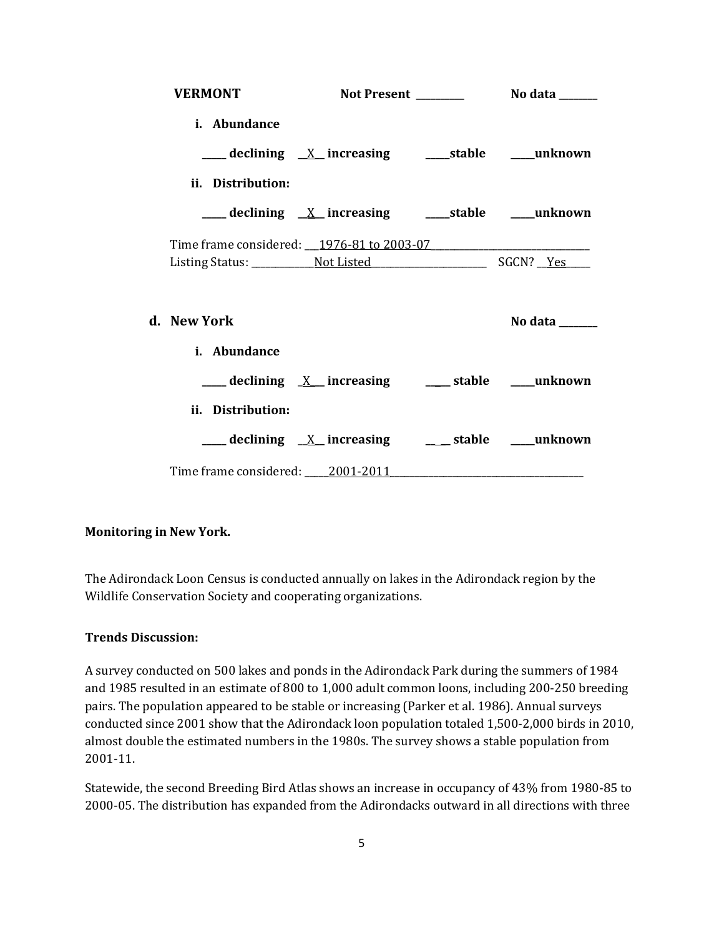| <b>VERMONT</b>    |                                                           |  |
|-------------------|-----------------------------------------------------------|--|
| i. Abundance      |                                                           |  |
|                   | ___ declining <u>X</u> increasing ____ stable ___ unknown |  |
| ii. Distribution: |                                                           |  |
|                   |                                                           |  |
|                   |                                                           |  |
|                   |                                                           |  |
| d. New York       |                                                           |  |
| i. Abundance      |                                                           |  |
|                   | ___ declining <u>X</u> _increasing ___ stable ___unknown  |  |
| ii. Distribution: |                                                           |  |
|                   | ___ declining <u>X</u> increasing ___ stable ___ unknown  |  |
|                   |                                                           |  |

### **Monitoring in New York.**

The Adirondack Loon Census is conducted annually on lakes in the Adirondack region by the Wildlife Conservation Society and cooperating organizations.

### **Trends Discussion:**

A survey conducted on 500 lakes and ponds in the Adirondack Park during the summers of 1984 and 1985 resulted in an estimate of 800 to 1,000 adult common loons, including 200-250 breeding pairs. The population appeared to be stable or increasing (Parker et al. 1986). Annual surveys conducted since 2001 show that the Adirondack loon population totaled 1,500-2,000 birds in 2010, almost double the estimated numbers in the 1980s. The survey shows a stable population from 2001-11.

Statewide, the second Breeding Bird Atlas shows an increase in occupancy of 43% from 1980-85 to 2000-05. The distribution has expanded from the Adirondacks outward in all directions with three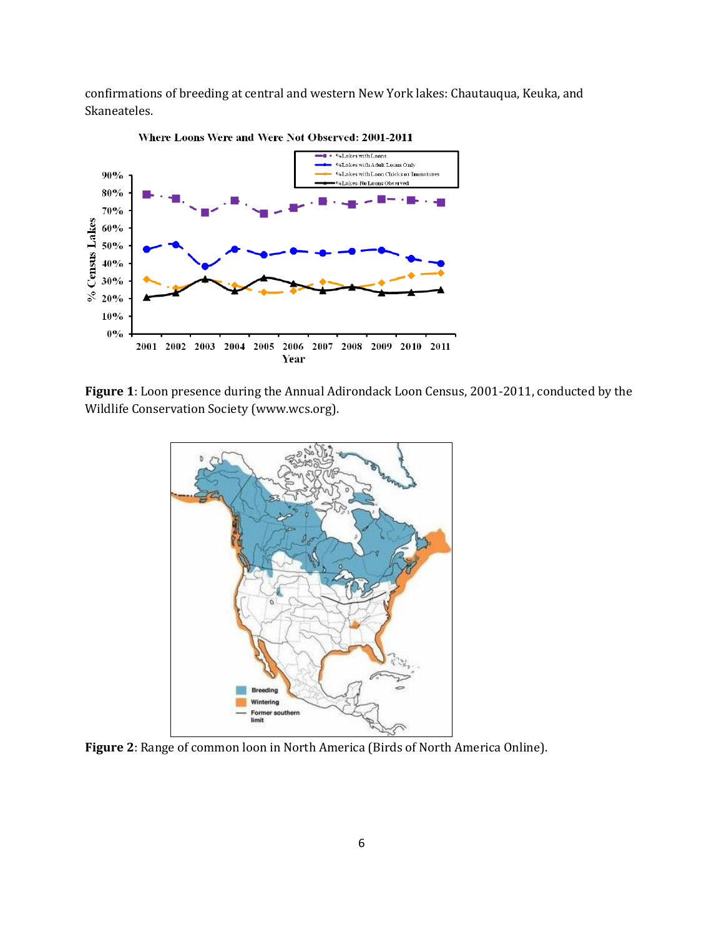confirmations of breeding at central and western New York lakes: Chautauqua, Keuka, and Skaneateles.



**Figure 1**: Loon presence during the Annual Adirondack Loon Census, 2001-2011, conducted by the Wildlife Conservation Society (www.wcs.org).



**Figure 2**: Range of common loon in North America (Birds of North America Online).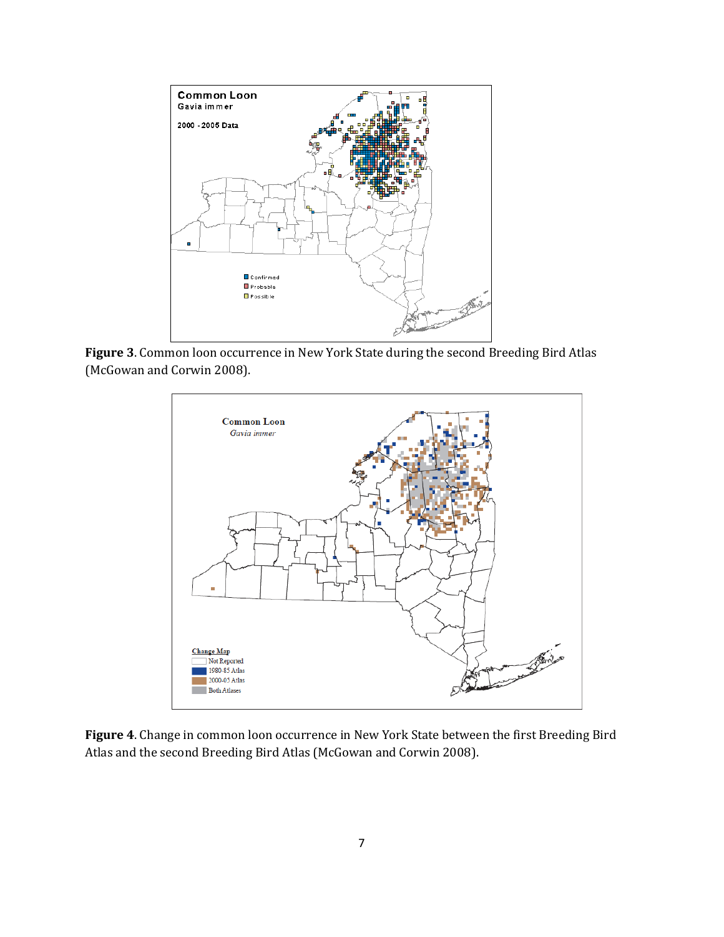

**Figure 3**. Common loon occurrence in New York State during the second Breeding Bird Atlas (McGowan and Corwin 2008).



**Figure 4**. Change in common loon occurrence in New York State between the first Breeding Bird Atlas and the second Breeding Bird Atlas (McGowan and Corwin 2008).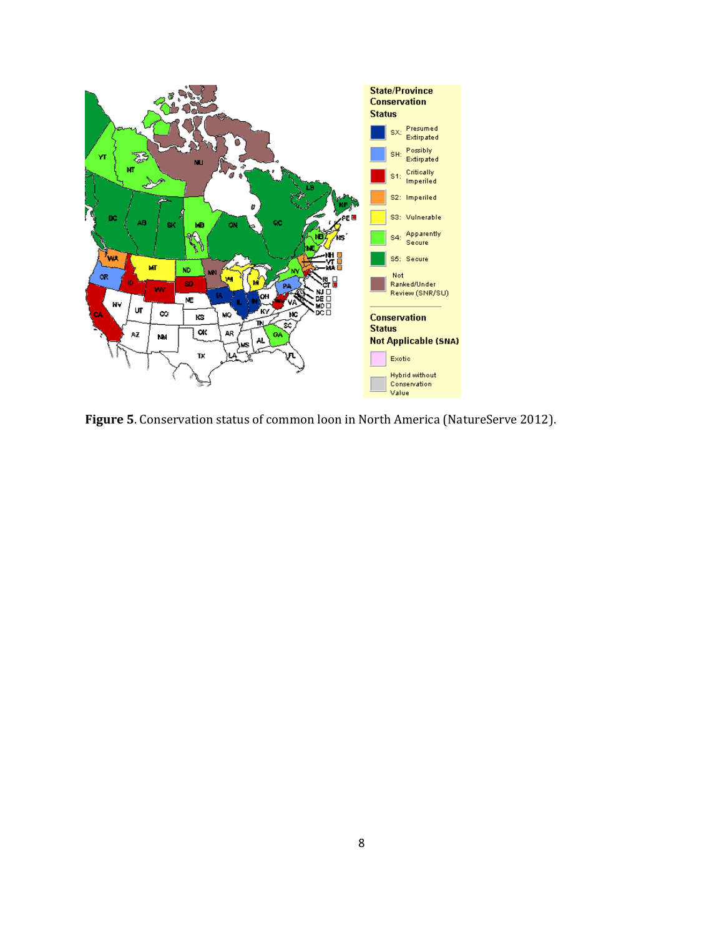

**Figure 5**. Conservation status of common loon in North America (NatureServe 2012).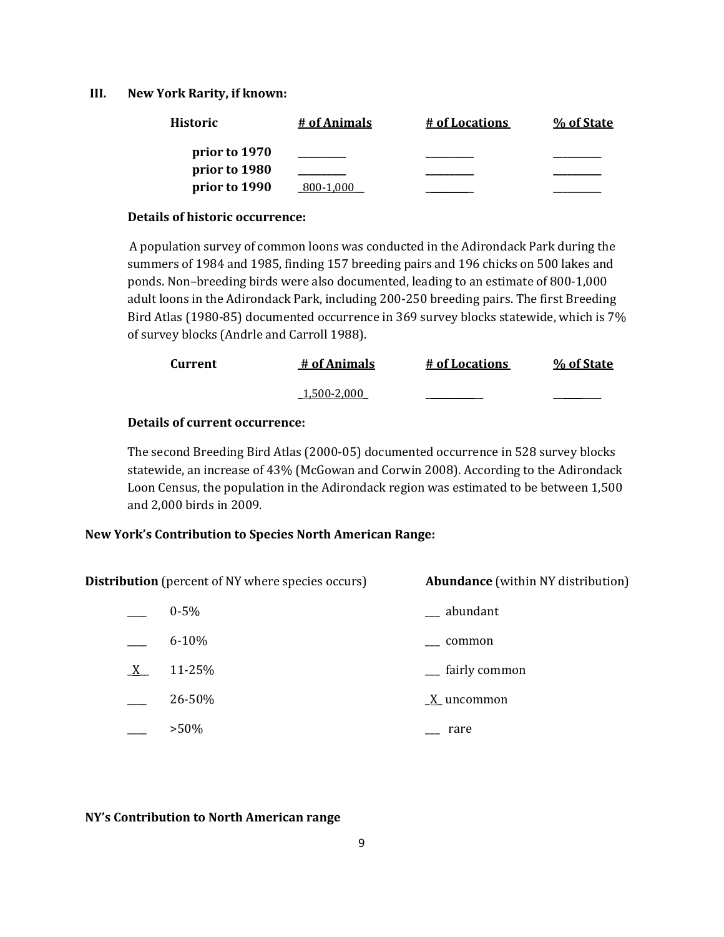### **III. New York Rarity, if known:**

| <b>Historic</b> | # of Animals | # of Locations | % of State |
|-----------------|--------------|----------------|------------|
| prior to 1970   |              |                |            |
| prior to 1980   |              |                |            |
| prior to 1990   | 800-1.000    |                |            |

#### **Details of historic occurrence:**

A population survey of common loons was conducted in the Adirondack Park during the summers of 1984 and 1985, finding 157 breeding pairs and 196 chicks on 500 lakes and ponds. Non–breeding birds were also documented, leading to an estimate of 800-1,000 adult loons in the Adirondack Park, including 200-250 breeding pairs. The first Breeding Bird Atlas (1980-85) documented occurrence in 369 survey blocks statewide, which is 7% of survey blocks (Andrle and Carroll 1988).

| Current | # of Animals | # of Locations | % of State |
|---------|--------------|----------------|------------|
|         | 1,500-2,000  |                |            |

## **Details of current occurrence:**

The second Breeding Bird Atlas (2000-05) documented occurrence in 528 survey blocks statewide, an increase of 43% (McGowan and Corwin 2008). According to the Adirondack Loon Census, the population in the Adirondack region was estimated to be between 1,500 and 2,000 birds in 2009.

### **New York's Contribution to Species North American Range:**

**Distribution** (percent of NY where species occurs) **Abundance** (within NY distribution)

|         | $0 - 5\%$ | abundant      |
|---------|-----------|---------------|
|         | $6 - 10%$ | common        |
| $X_{-}$ | 11-25%    | fairly common |
|         | 26-50%    | X uncommon    |
|         | $>50\%$   | rare          |

### **NY's Contribution to North American range**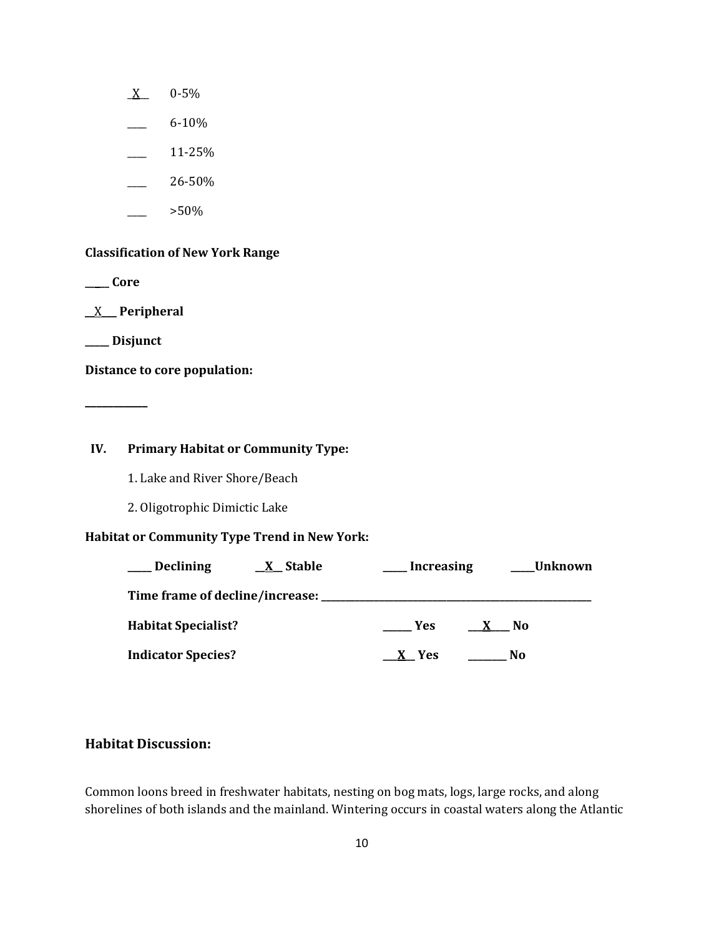- $X$  0-5%
- $-$  6-10%
- \_\_\_\_ 11-25%
- $\frac{26-50\%}{26}$
- \_\_\_\_ >50%

### **Classification of New York Range**

**\_\_\_\_\_ Core**

\_\_X\_\_\_ **Peripheral**

**\_\_\_\_\_ Disjunct**

**\_\_\_\_\_\_\_\_\_\_\_**

**Distance to core population:**

### **IV. Primary Habitat or Community Type:**

1. Lake and River Shore/Beach

2. Oligotrophic Dimictic Lake

# **Habitat or Community Type Trend in New York:**

| Declining                  | <u>X</u> Stable | <b>Increasing</b> |                    | Unknown |
|----------------------------|-----------------|-------------------|--------------------|---------|
|                            |                 |                   |                    |         |
| <b>Habitat Specialist?</b> |                 | <b>Yes</b>        | No.<br>$\mathbf x$ |         |
| <b>Indicator Species?</b>  |                 | X Yes             | No                 |         |

## **Habitat Discussion:**

Common loons breed in freshwater habitats, nesting on bog mats, logs, large rocks, and along shorelines of both islands and the mainland. Wintering occurs in coastal waters along the Atlantic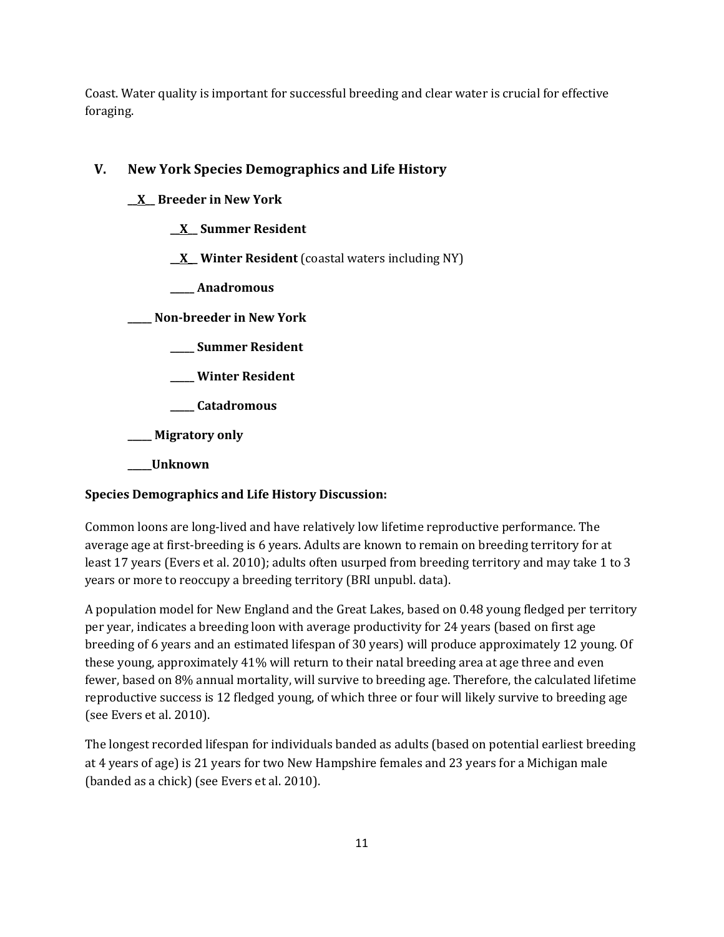Coast. Water quality is important for successful breeding and clear water is crucial for effective foraging.

# **V. New York Species Demographics and Life History**

- **\_\_X\_\_ Breeder in New York**
	- **\_\_X\_\_ Summer Resident**
	- **\_\_X\_\_ Winter Resident** (coastal waters including NY)
	- **\_\_\_\_\_ Anadromous**

**\_\_\_\_\_ Non-breeder in New York**

- **\_\_\_\_\_ Summer Resident**
- **\_\_\_\_\_ Winter Resident**

**\_\_\_\_\_ Catadromous**

**\_\_\_\_\_ Migratory only**

**\_\_\_\_\_Unknown**

# **Species Demographics and Life History Discussion:**

Common loons are long-lived and have relatively low lifetime reproductive performance. The average age at first-breeding is 6 years. Adults are known to remain on breeding territory for at least 17 years (Evers et al. 2010); adults often usurped from breeding territory and may take 1 to 3 years or more to reoccupy a breeding territory (BRI unpubl. data).

A population model for New England and the Great Lakes, based on 0.48 young fledged per territory per year, indicates a breeding loon with average productivity for 24 years (based on first age breeding of 6 years and an estimated lifespan of 30 years) will produce approximately 12 young. Of these young, approximately 41% will return to their natal breeding area at age three and even fewer, based on 8% annual mortality, will survive to breeding age. Therefore, the calculated lifetime reproductive success is 12 fledged young, of which three or four will likely survive to breeding age (see Evers et al. 2010).

The longest recorded lifespan for individuals banded as adults (based on potential earliest breeding at 4 years of age) is 21 years for two New Hampshire females and 23 years for a Michigan male (banded as a chick) (see Evers et al. 2010).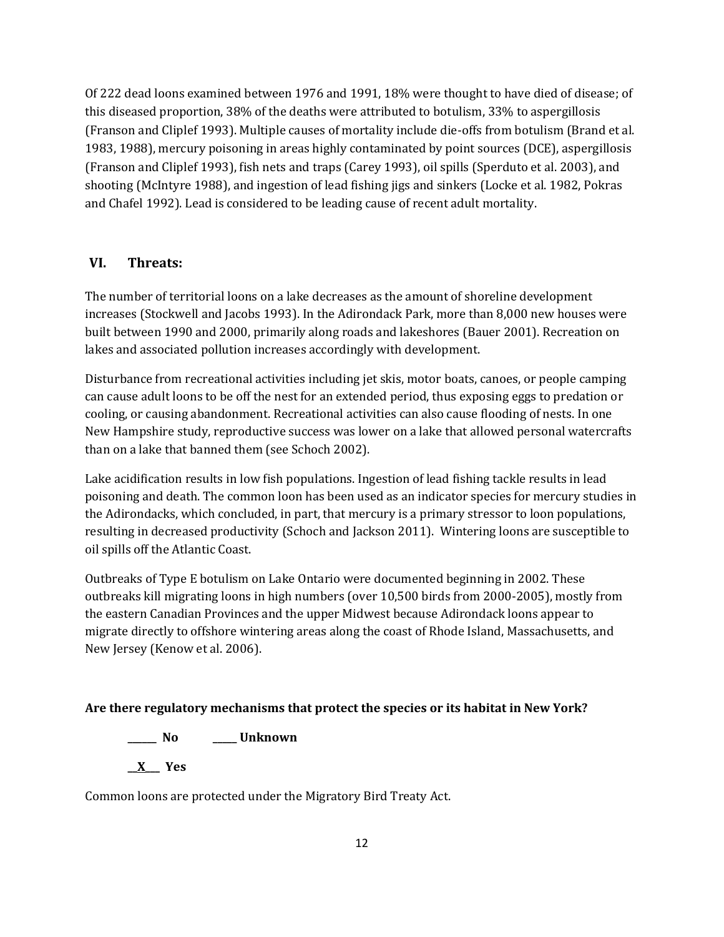Of 222 dead loons examined between 1976 and 1991, 18% were thought to have died of disease; of this diseased proportion, 38% of the deaths were attributed to botulism, 33% to aspergillosis (Franson and Cliplef 1993). Multiple causes of mortality include die-offs from botulism (Brand et al. 1983, 1988), mercury poisoning in areas highly contaminated by point sources (DCE), aspergillosis (Franson and Cliplef 1993), fish nets and traps (Carey 1993), oil spills (Sperduto et al. 2003), and shooting (McIntyre 1988), and ingestion of lead fishing jigs and sinkers (Locke et al. 1982, Pokras and Chafel 1992). Lead is considered to be leading cause of recent adult mortality.

### **VI. Threats:**

The number of territorial loons on a lake decreases as the amount of shoreline development increases (Stockwell and Jacobs 1993). In the Adirondack Park, more than 8,000 new houses were built between 1990 and 2000, primarily along roads and lakeshores (Bauer 2001). Recreation on lakes and associated pollution increases accordingly with development.

Disturbance from recreational activities including jet skis, motor boats, canoes, or people camping can cause adult loons to be off the nest for an extended period, thus exposing eggs to predation or cooling, or causing abandonment. Recreational activities can also cause flooding of nests. In one New Hampshire study, reproductive success was lower on a lake that allowed personal watercrafts than on a lake that banned them (see Schoch 2002).

Lake acidification results in low fish populations. Ingestion of lead fishing tackle results in lead poisoning and death. The common loon has been used as an indicator species for mercury studies in the Adirondacks, which concluded, in part, that mercury is a primary stressor to loon populations, resulting in decreased productivity (Schoch and Jackson 2011). Wintering loons are susceptible to oil spills off the Atlantic Coast.

Outbreaks of Type E botulism on Lake Ontario were documented beginning in 2002. These outbreaks kill migrating loons in high numbers (over 10,500 birds from 2000-2005), mostly from the eastern Canadian Provinces and the upper Midwest because Adirondack loons appear to migrate directly to offshore wintering areas along the coast of Rhode Island, Massachusetts, and New Jersey (Kenow et al. 2006).

### **Are there regulatory mechanisms that protect the species or its habitat in New York?**

**\_\_\_\_\_\_ No \_\_\_\_\_ Unknown**

**\_\_X\_\_\_ Yes** 

Common loons are protected under the Migratory Bird Treaty Act.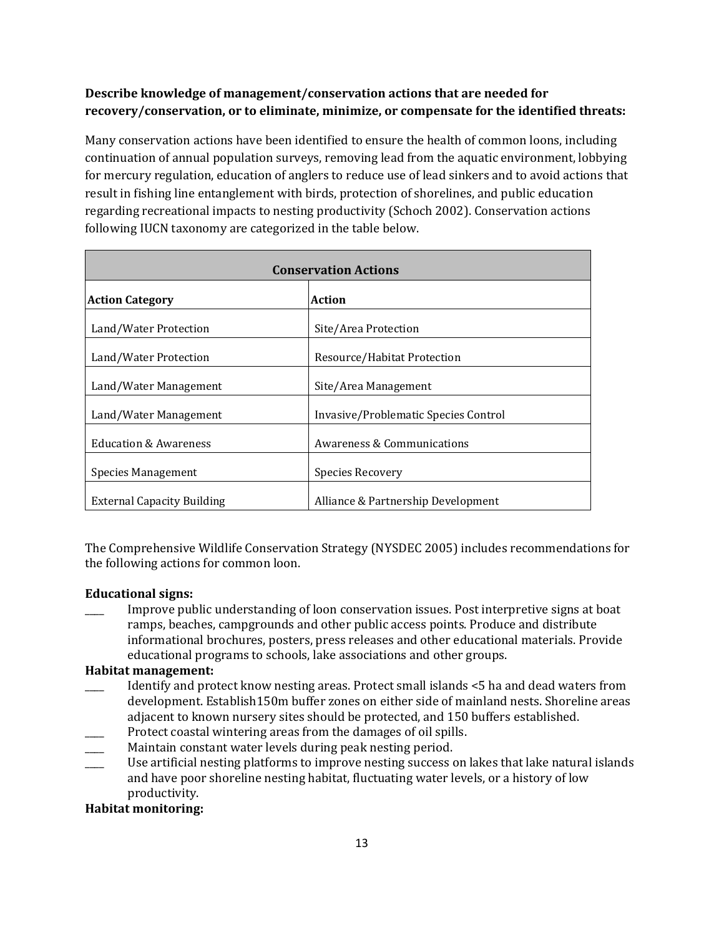# **Describe knowledge of management/conservation actions that are needed for recovery/conservation, or to eliminate, minimize, or compensate for the identified threats:**

Many conservation actions have been identified to ensure the health of common loons, including continuation of annual population surveys, removing lead from the aquatic environment, lobbying for mercury regulation, education of anglers to reduce use of lead sinkers and to avoid actions that result in fishing line entanglement with birds, protection of shorelines, and public education regarding recreational impacts to nesting productivity (Schoch 2002). Conservation actions following IUCN taxonomy are categorized in the table below.

| <b>Conservation Actions</b>       |                                      |  |
|-----------------------------------|--------------------------------------|--|
| <b>Action Category</b>            | <b>Action</b>                        |  |
| Land/Water Protection             | Site/Area Protection                 |  |
| Land/Water Protection             | Resource/Habitat Protection          |  |
| Land/Water Management             | Site/Area Management                 |  |
| Land/Water Management             | Invasive/Problematic Species Control |  |
| <b>Education &amp; Awareness</b>  | Awareness & Communications           |  |
| Species Management                | Species Recovery                     |  |
| <b>External Capacity Building</b> | Alliance & Partnership Development   |  |

The Comprehensive Wildlife Conservation Strategy (NYSDEC 2005) includes recommendations for the following actions for common loon.

## **Educational signs:**

Improve public understanding of loon conservation issues. Post interpretive signs at boat ramps, beaches, campgrounds and other public access points. Produce and distribute informational brochures, posters, press releases and other educational materials. Provide educational programs to schools, lake associations and other groups.

### **Habitat management:**

- \_\_\_\_ Identify and protect know nesting areas. Protect small islands <5 ha and dead waters from development. Establish150m buffer zones on either side of mainland nests. Shoreline areas adjacent to known nursery sites should be protected, and 150 buffers established.
- Protect coastal wintering areas from the damages of oil spills.
- Maintain constant water levels during peak nesting period.
- \_\_\_\_ Use artificial nesting platforms to improve nesting success on lakes that lake natural islands and have poor shoreline nesting habitat, fluctuating water levels, or a history of low productivity.

## **Habitat monitoring:**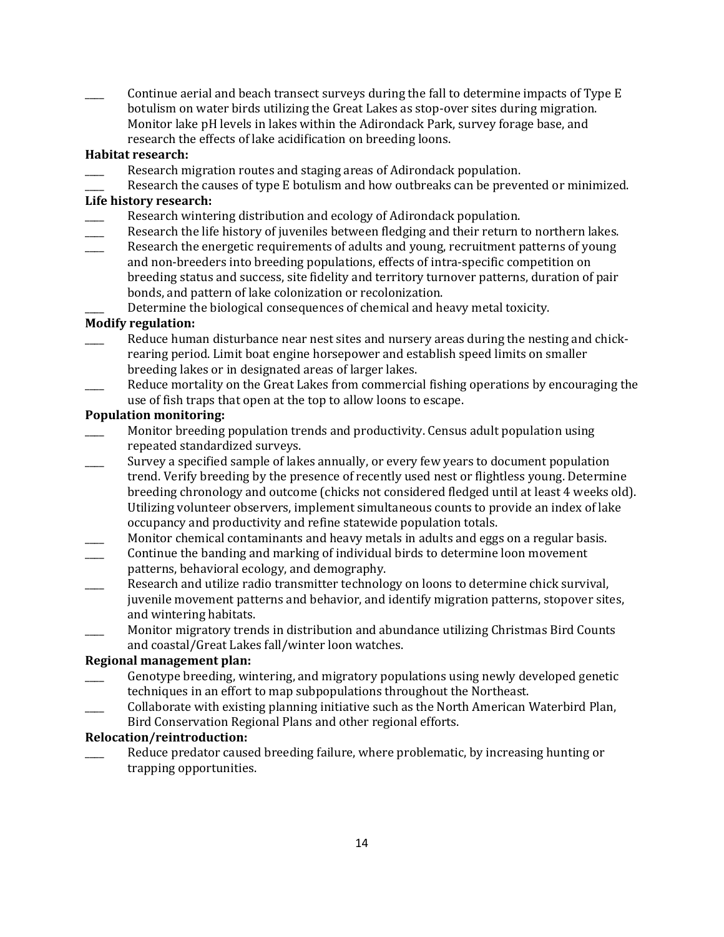Continue aerial and beach transect surveys during the fall to determine impacts of Type E botulism on water birds utilizing the Great Lakes as stop-over sites during migration. Monitor lake pH levels in lakes within the Adirondack Park, survey forage base, and research the effects of lake acidification on breeding loons.

### **Habitat research:**

- Research migration routes and staging areas of Adirondack population.
- Research the causes of type E botulism and how outbreaks can be prevented or minimized.

### **Life history research:**

- Research wintering distribution and ecology of Adirondack population.
- Research the life history of juveniles between fledging and their return to northern lakes.
- Research the energetic requirements of adults and young, recruitment patterns of young and non-breeders into breeding populations, effects of intra-specific competition on breeding status and success, site fidelity and territory turnover patterns, duration of pair bonds, and pattern of lake colonization or recolonization.

Determine the biological consequences of chemical and heavy metal toxicity.

### **Modify regulation:**

- Reduce human disturbance near nest sites and nursery areas during the nesting and chickrearing period. Limit boat engine horsepower and establish speed limits on smaller breeding lakes or in designated areas of larger lakes.
- Reduce mortality on the Great Lakes from commercial fishing operations by encouraging the use of fish traps that open at the top to allow loons to escape.

### **Population monitoring:**

- Monitor breeding population trends and productivity. Census adult population using repeated standardized surveys.
- \_\_\_\_ Survey a specified sample of lakes annually, or every few years to document population trend. Verify breeding by the presence of recently used nest or flightless young. Determine breeding chronology and outcome (chicks not considered fledged until at least 4 weeks old). Utilizing volunteer observers, implement simultaneous counts to provide an index of lake occupancy and productivity and refine statewide population totals.
- Monitor chemical contaminants and heavy metals in adults and eggs on a regular basis.
- Continue the banding and marking of individual birds to determine loon movement patterns, behavioral ecology, and demography.
- Research and utilize radio transmitter technology on loons to determine chick survival, juvenile movement patterns and behavior, and identify migration patterns, stopover sites, and wintering habitats.
- \_\_\_\_ Monitor migratory trends in distribution and abundance utilizing Christmas Bird Counts and coastal/Great Lakes fall/winter loon watches.

### **Regional management plan:**

- Genotype breeding, wintering, and migratory populations using newly developed genetic techniques in an effort to map subpopulations throughout the Northeast.
- \_\_\_\_ Collaborate with existing planning initiative such as the North American Waterbird Plan, Bird Conservation Regional Plans and other regional efforts.

### **Relocation/reintroduction:**

Reduce predator caused breeding failure, where problematic, by increasing hunting or trapping opportunities.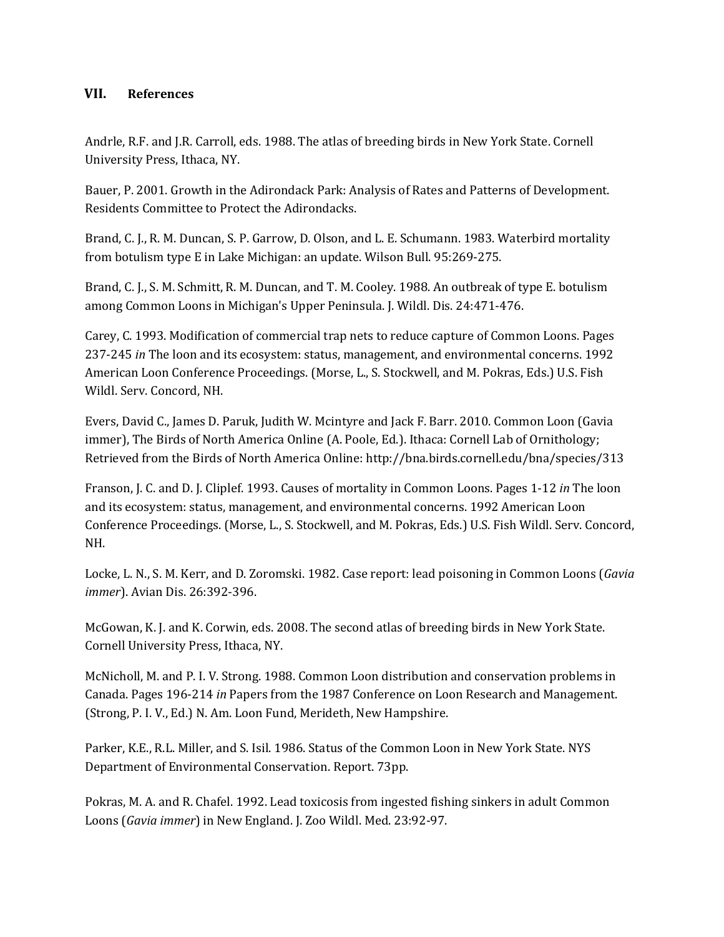## **VII. References**

Andrle, R.F. and J.R. Carroll, eds. 1988. The atlas of breeding birds in New York State. Cornell University Press, Ithaca, NY.

Bauer, P. 2001. Growth in the Adirondack Park: Analysis of Rates and Patterns of Development. Residents Committee to Protect the Adirondacks.

Brand, C. J., R. M. Duncan, S. P. Garrow, D. Olson, and L. E. Schumann. 1983. Waterbird mortality from botulism type E in Lake Michigan: an update. Wilson Bull. 95:269-275.

Brand, C. J., S. M. Schmitt, R. M. Duncan, and T. M. Cooley. 1988. An outbreak of type E. botulism among Common Loons in Michigan's Upper Peninsula. J. Wildl. Dis. 24:471-476.

Carey, C. 1993. Modification of commercial trap nets to reduce capture of Common Loons. Pages 237-245 *in* The loon and its ecosystem: status, management, and environmental concerns. 1992 American Loon Conference Proceedings. (Morse, L., S. Stockwell, and M. Pokras, Eds.) U.S. Fish Wildl. Serv. Concord, NH.

Evers, David C., James D. Paruk, Judith W. Mcintyre and Jack F. Barr. 2010. Common Loon (Gavia immer), The Birds of North America Online (A. Poole, Ed.). Ithaca: Cornell Lab of Ornithology; Retrieved from the Birds of North America Online: http://bna.birds.cornell.edu/bna/species/313

Franson, J. C. and D. J. Cliplef. 1993. Causes of mortality in Common Loons. Pages 1-12 *in* The loon and its ecosystem: status, management, and environmental concerns. 1992 American Loon Conference Proceedings. (Morse, L., S. Stockwell, and M. Pokras, Eds.) U.S. Fish Wildl. Serv. Concord, NH.

Locke, L. N., S. M. Kerr, and D. Zoromski. 1982. Case report: lead poisoning in Common Loons (*Gavia immer*). Avian Dis. 26:392-396.

McGowan, K. J. and K. Corwin, eds. 2008. The second atlas of breeding birds in New York State. Cornell University Press, Ithaca, NY.

McNicholl, M. and P. I. V. Strong. 1988. Common Loon distribution and conservation problems in Canada. Pages 196-214 *in* Papers from the 1987 Conference on Loon Research and Management. (Strong, P. I. V., Ed.) N. Am. Loon Fund, Merideth, New Hampshire.

Parker, K.E., R.L. Miller, and S. Isil. 1986. Status of the Common Loon in New York State. NYS Department of Environmental Conservation. Report. 73pp.

Pokras, M. A. and R. Chafel. 1992. Lead toxicosis from ingested fishing sinkers in adult Common Loons (*Gavia immer*) in New England. J. Zoo Wildl. Med. 23:92-97.